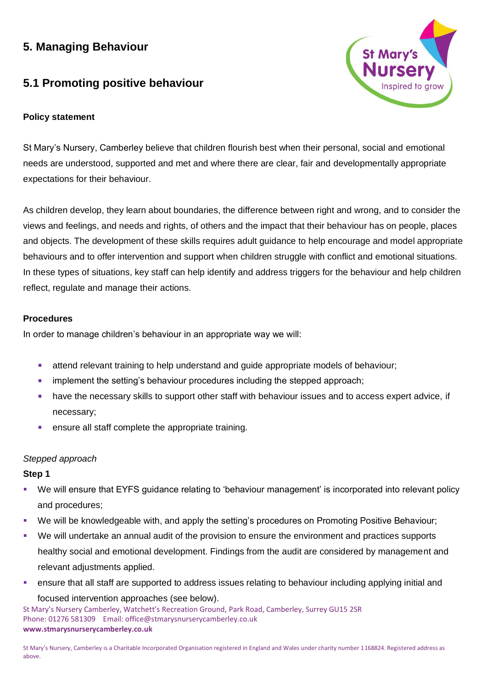# **5. Managing Behaviour**

# **5.1 Promoting positive behaviour**

# **Policy statement**



St Mary's Nursery, Camberley believe that children flourish best when their personal, social and emotional needs are understood, supported and met and where there are clear, fair and developmentally appropriate expectations for their behaviour.

As children develop, they learn about boundaries, the difference between right and wrong, and to consider the views and feelings, and needs and rights, of others and the impact that their behaviour has on people, places and objects. The development of these skills requires adult guidance to help encourage and model appropriate behaviours and to offer intervention and support when children struggle with conflict and emotional situations. In these types of situations, key staff can help identify and address triggers for the behaviour and help children reflect, regulate and manage their actions.

# **Procedures**

In order to manage children's behaviour in an appropriate way we will:

- attend relevant training to help understand and quide appropriate models of behaviour;
- **•** implement the setting's behaviour procedures including the stepped approach;
- have the necessary skills to support other staff with behaviour issues and to access expert advice, if necessary;
- ensure all staff complete the appropriate training.

#### *Stepped approach*

#### **Step 1**

- We will ensure that EYFS quidance relating to 'behaviour management' is incorporated into relevant policy and procedures;
- We will be knowledgeable with, and apply the setting's procedures on Promoting Positive Behaviour;
- We will undertake an annual audit of the provision to ensure the environment and practices supports healthy social and emotional development. Findings from the audit are considered by management and relevant adjustments applied.
- ensure that all staff are supported to address issues relating to behaviour including applying initial and focused intervention approaches (see below).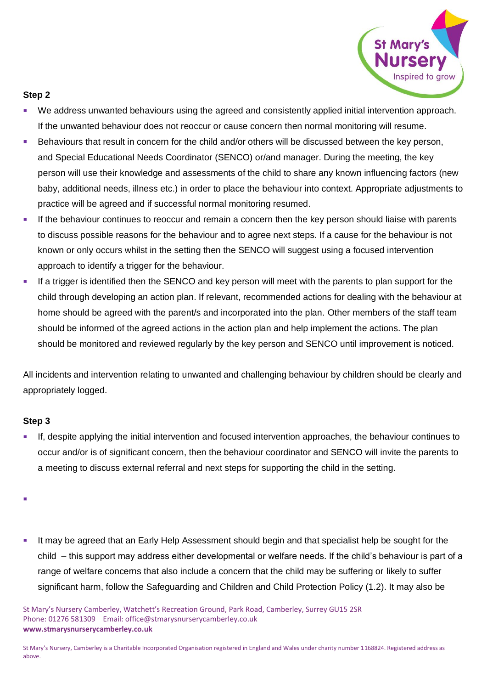

# **Step 2**

- We address unwanted behaviours using the agreed and consistently applied initial intervention approach. If the unwanted behaviour does not reoccur or cause concern then normal monitoring will resume.
- **EXECT** Behaviours that result in concern for the child and/or others will be discussed between the key person, and Special Educational Needs Coordinator (SENCO) or/and manager. During the meeting, the key person will use their knowledge and assessments of the child to share any known influencing factors (new baby, additional needs, illness etc.) in order to place the behaviour into context. Appropriate adjustments to practice will be agreed and if successful normal monitoring resumed.
- **■** If the behaviour continues to reoccur and remain a concern then the key person should liaise with parents to discuss possible reasons for the behaviour and to agree next steps. If a cause for the behaviour is not known or only occurs whilst in the setting then the SENCO will suggest using a focused intervention approach to identify a trigger for the behaviour.
- **EXT** If a trigger is identified then the SENCO and key person will meet with the parents to plan support for the child through developing an action plan. If relevant, recommended actions for dealing with the behaviour at home should be agreed with the parent/s and incorporated into the plan. Other members of the staff team should be informed of the agreed actions in the action plan and help implement the actions. The plan should be monitored and reviewed regularly by the key person and SENCO until improvement is noticed.

All incidents and intervention relating to unwanted and challenging behaviour by children should be clearly and appropriately logged.

#### **Step 3**

- If, despite applying the initial intervention and focused intervention approaches, the behaviour continues to occur and/or is of significant concern, then the behaviour coordinator and SENCO will invite the parents to a meeting to discuss external referral and next steps for supporting the child in the setting.
- ▪
- **■** It may be agreed that an Early Help Assessment should begin and that specialist help be sought for the child – this support may address either developmental or welfare needs. If the child's behaviour is part of a range of welfare concerns that also include a concern that the child may be suffering or likely to suffer significant harm, follow the Safeguarding and Children and Child Protection Policy (1.2). It may also be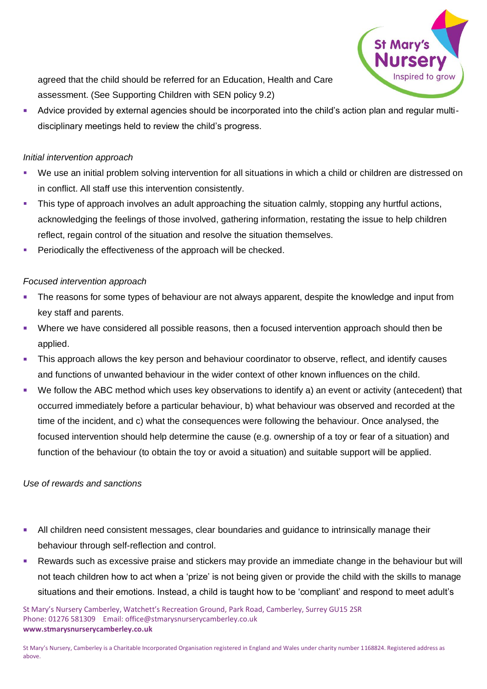

agreed that the child should be referred for an Education, Health and Care assessment. (See Supporting Children with SEN policy 9.2)

Advice provided by external agencies should be incorporated into the child's action plan and regular multidisciplinary meetings held to review the child's progress.

# *Initial intervention approach*

- We use an initial problem solving intervention for all situations in which a child or children are distressed on in conflict. All staff use this intervention consistently.
- This type of approach involves an adult approaching the situation calmly, stopping any hurtful actions, acknowledging the feelings of those involved, gathering information, restating the issue to help children reflect, regain control of the situation and resolve the situation themselves.
- Periodically the effectiveness of the approach will be checked.

# *Focused intervention approach*

- The reasons for some types of behaviour are not always apparent, despite the knowledge and input from key staff and parents.
- Where we have considered all possible reasons, then a focused intervention approach should then be applied.
- **•** This approach allows the key person and behaviour coordinator to observe, reflect, and identify causes and functions of unwanted behaviour in the wider context of other known influences on the child.
- We follow the ABC method which uses key observations to identify a) an event or activity (antecedent) that occurred immediately before a particular behaviour, b) what behaviour was observed and recorded at the time of the incident, and c) what the consequences were following the behaviour. Once analysed, the focused intervention should help determine the cause (e.g. ownership of a toy or fear of a situation) and function of the behaviour (to obtain the toy or avoid a situation) and suitable support will be applied.

# *Use of rewards and sanctions*

- **E.** All children need consistent messages, clear boundaries and guidance to intrinsically manage their behaviour through self-reflection and control.
- Rewards such as excessive praise and stickers may provide an immediate change in the behaviour but will not teach children how to act when a 'prize' is not being given or provide the child with the skills to manage situations and their emotions. Instead, a child is taught how to be 'compliant' and respond to meet adult's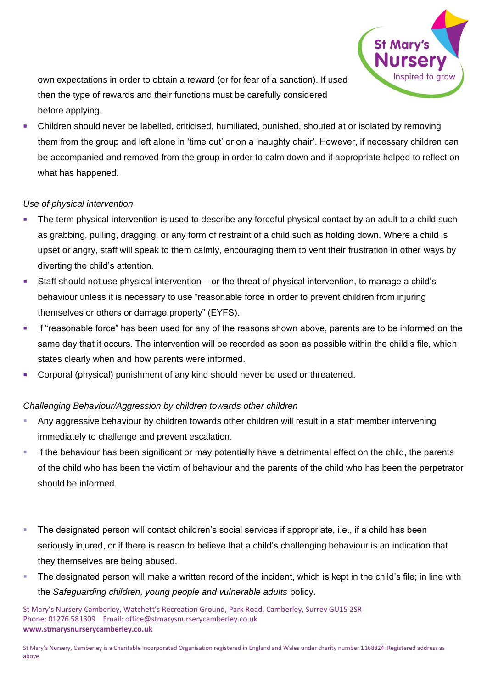

own expectations in order to obtain a reward (or for fear of a sanction). If used then the type of rewards and their functions must be carefully considered before applying.

Children should never be labelled, criticised, humiliated, punished, shouted at or isolated by removing them from the group and left alone in 'time out' or on a 'naughty chair'. However, if necessary children can be accompanied and removed from the group in order to calm down and if appropriate helped to reflect on what has happened.

# *Use of physical intervention*

- The term physical intervention is used to describe any forceful physical contact by an adult to a child such as grabbing, pulling, dragging, or any form of restraint of a child such as holding down. Where a child is upset or angry, staff will speak to them calmly, encouraging them to vent their frustration in other ways by diverting the child's attention.
- Staff should not use physical intervention or the threat of physical intervention, to manage a child's behaviour unless it is necessary to use "reasonable force in order to prevent children from injuring themselves or others or damage property" (EYFS).
- **EXECT** If "reasonable force" has been used for any of the reasons shown above, parents are to be informed on the same day that it occurs. The intervention will be recorded as soon as possible within the child's file, which states clearly when and how parents were informed.
- Corporal (physical) punishment of any kind should never be used or threatened.

#### *Challenging Behaviour/Aggression by children towards other children*

- Any aggressive behaviour by children towards other children will result in a staff member intervening immediately to challenge and prevent escalation.
- If the behaviour has been significant or may potentially have a detrimental effect on the child, the parents of the child who has been the victim of behaviour and the parents of the child who has been the perpetrator should be informed.
- The designated person will contact children's social services if appropriate, i.e., if a child has been seriously injured, or if there is reason to believe that a child's challenging behaviour is an indication that they themselves are being abused.
- The designated person will make a written record of the incident, which is kept in the child's file; in line with the *Safeguarding children, young people and vulnerable adults* policy.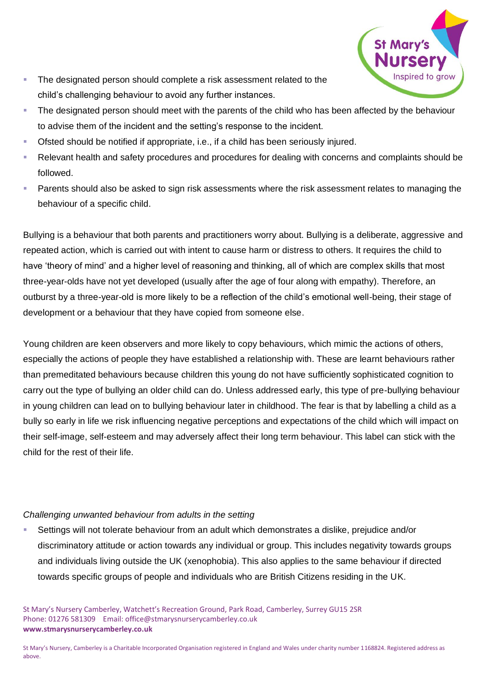

- **The designated person should complete a risk assessment related to the** child's challenging behaviour to avoid any further instances.
- The designated person should meet with the parents of the child who has been affected by the behaviour to advise them of the incident and the setting's response to the incident.
- Ofsted should be notified if appropriate, i.e., if a child has been seriously injured.
- Relevant health and safety procedures and procedures for dealing with concerns and complaints should be followed.
- Parents should also be asked to sign risk assessments where the risk assessment relates to managing the behaviour of a specific child.

Bullying is a behaviour that both parents and practitioners worry about. Bullying is a deliberate, aggressive and repeated action, which is carried out with intent to cause harm or distress to others. It requires the child to have 'theory of mind' and a higher level of reasoning and thinking, all of which are complex skills that most three-year-olds have not yet developed (usually after the age of four along with empathy). Therefore, an outburst by a three-year-old is more likely to be a reflection of the child's emotional well-being, their stage of development or a behaviour that they have copied from someone else.

Young children are keen observers and more likely to copy behaviours, which mimic the actions of others, especially the actions of people they have established a relationship with. These are learnt behaviours rather than premeditated behaviours because children this young do not have sufficiently sophisticated cognition to carry out the type of bullying an older child can do. Unless addressed early, this type of pre-bullying behaviour in young children can lead on to bullying behaviour later in childhood. The fear is that by labelling a child as a bully so early in life we risk influencing negative perceptions and expectations of the child which will impact on their self-image, self-esteem and may adversely affect their long term behaviour. This label can stick with the child for the rest of their life.

#### *Challenging unwanted behaviour from adults in the setting*

Settings will not tolerate behaviour from an adult which demonstrates a dislike, prejudice and/or discriminatory attitude or action towards any individual or group. This includes negativity towards groups and individuals living outside the UK (xenophobia). This also applies to the same behaviour if directed towards specific groups of people and individuals who are British Citizens residing in the UK.